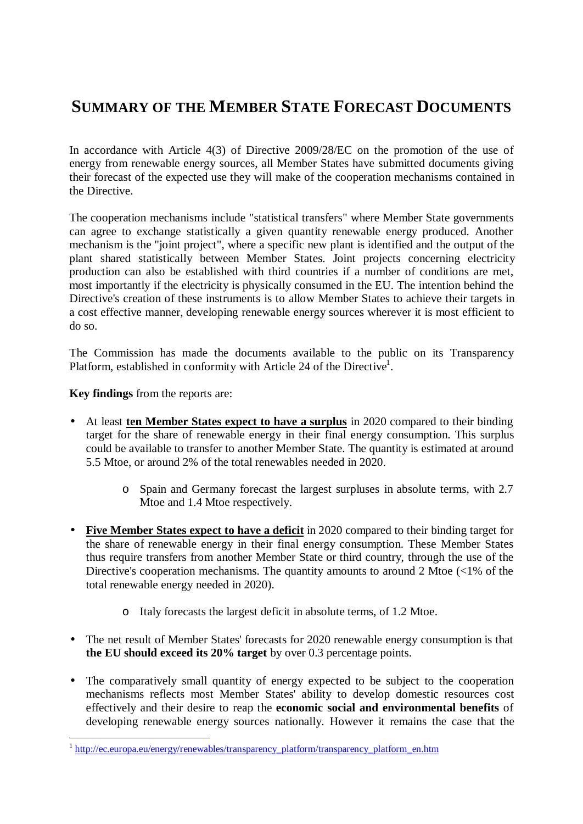## **SUMMARY OF THE MEMBER STATE FORECAST DOCUMENTS**

In accordance with Article 4(3) of Directive 2009/28/EC on the promotion of the use of energy from renewable energy sources, all Member States have submitted documents giving their forecast of the expected use they will make of the cooperation mechanisms contained in the Directive.

The cooperation mechanisms include "statistical transfers" where Member State governments can agree to exchange statistically a given quantity renewable energy produced. Another mechanism is the "joint project", where a specific new plant is identified and the output of the plant shared statistically between Member States. Joint projects concerning electricity production can also be established with third countries if a number of conditions are met, most importantly if the electricity is physically consumed in the EU. The intention behind the Directive's creation of these instruments is to allow Member States to achieve their targets in a cost effective manner, developing renewable energy sources wherever it is most efficient to do so.

The Commission has made the documents available to the public on its Transparency Platform, established in conformity with Article 24 of the Directive<sup>1</sup>.

**Key findings** from the reports are:

- At least **ten Member States expect to have a surplus** in 2020 compared to their binding target for the share of renewable energy in their final energy consumption. This surplus could be available to transfer to another Member State. The quantity is estimated at around 5.5 Mtoe, or around 2% of the total renewables needed in 2020.
	- o Spain and Germany forecast the largest surpluses in absolute terms, with 2.7 Mtoe and 1.4 Mtoe respectively.
- Five Member States expect to have a deficit in 2020 compared to their binding target for the share of renewable energy in their final energy consumption. These Member States thus require transfers from another Member State or third country, through the use of the Directive's cooperation mechanisms. The quantity amounts to around 2 Mtoe (<1% of the total renewable energy needed in 2020).
	- o Italy forecasts the largest deficit in absolute terms, of 1.2 Mtoe.
- The net result of Member States' forecasts for 2020 renewable energy consumption is that **the EU should exceed its 20% target** by over 0.3 percentage points.
- The comparatively small quantity of energy expected to be subject to the cooperation mechanisms reflects most Member States' ability to develop domestic resources cost effectively and their desire to reap the **economic social and environmental benefits** of developing renewable energy sources nationally. However it remains the case that the

 1 http://ec.europa.eu/energy/renewables/transparency\_platform/transparency\_platform\_en.htm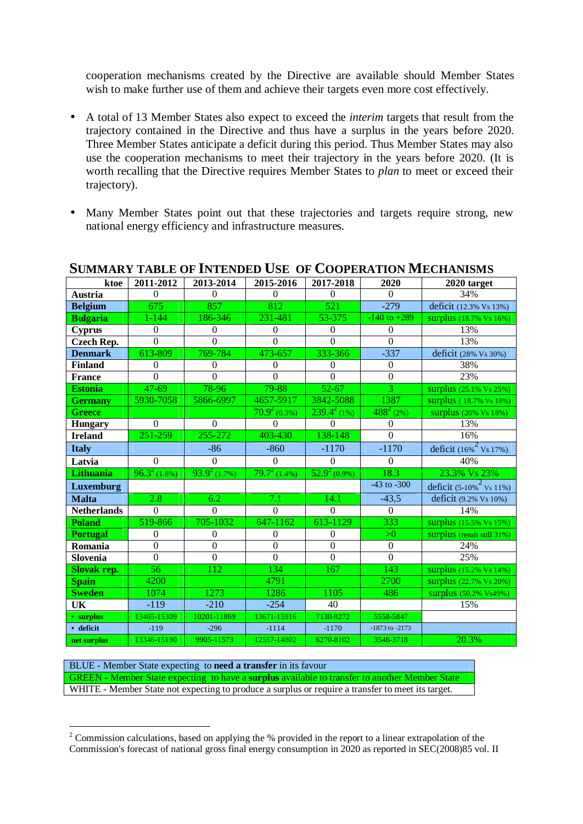cooperation mechanisms created by the Directive are available should Member States wish to make further use of them and achieve their targets even more cost effectively.

- A total of 13 Member States also expect to exceed the *interim* targets that result from the trajectory contained in the Directive and thus have a surplus in the years before 2020. Three Member States anticipate a deficit during this period. Thus Member States may also use the cooperation mechanisms to meet their trajectory in the years before 2020. (It is worth recalling that the Directive requires Member States to *plan* to meet or exceed their trajectory).
- Many Member States point out that these trajectories and targets require strong, new national energy efficiency and infrastructure measures.

| ktoe               | 2011-2012      | 2013-2014         | 2015-2016        | 2017-2018                  | 2020                | 2020 target                           |
|--------------------|----------------|-------------------|------------------|----------------------------|---------------------|---------------------------------------|
| <b>Austria</b>     | $\Omega$       | $\Omega$          | $\Omega$         | $\overline{0}$             | $\Omega$            | 34%                                   |
| <b>Belgium</b>     | 675            | 857               | $\overline{812}$ | 521                        | $-279$              | deficit (12.3% Vs 13%)                |
| <b>Bulgaria</b>    | $1 - 144$      | 186-346           | 231-481          | 53-375                     | $-140$ to $+289$    | surplus (18.7% Vs 16%)                |
| <b>Cyprus</b>      | $\theta$       | $\mathbf{0}$      | $\boldsymbol{0}$ | $\boldsymbol{0}$           | $\Omega$            | 13%                                   |
| <b>Czech Rep.</b>  | $\Omega$       | $\Omega$          | $\Omega$         | $\Omega$                   | $\Omega$            | 13%                                   |
| <b>Denmark</b>     | 613-809        | 769-784           | 473-657          | 333-366                    | $-337$              | deficit (28% Vs 30%)                  |
| <b>Finland</b>     | $\mathbf{0}$   | $\boldsymbol{0}$  | $\boldsymbol{0}$ | $\boldsymbol{0}$           | $\boldsymbol{0}$    | 38%                                   |
| <b>France</b>      | $\mathbf{0}$   | $\theta$          | $\Omega$         | $\overline{0}$             | $\mathbf{0}$        | 23%                                   |
| <b>Estonia</b>     | 47-69          | 78-96             | 79-88            | $52 - 67$                  | 3                   | surplus (25.1% Vs 25%)                |
| <b>Germany</b>     | 5930-7058      | 5866-6997         | 4657-5917        | 3842-5088                  | 1387                | surplus (18.7% vs 18%)                |
| <b>Greece</b>      |                |                   | $70.9^2(0.3%)$   | $239.4^{2}(1%)$            | $\sqrt{488^2}$ (2%) | surplus (20% Vs 18%)                  |
| <b>Hungary</b>     | $\Omega$       | $\mathbf{0}$      | $\Omega$         | $\boldsymbol{0}$           | $\mathbf{0}$        | 13%                                   |
| <b>Ireland</b>     | 251-259        | 255-272           | 403-430          | 138-148                    | $\Omega$            | 16%                                   |
| <b>Italy</b>       |                | $-86$             | $-860$           | $-1170$                    | $-1170$             | deficit $(16\%^2 \text{Vs } 17\%)$    |
| Latvia             | $\Omega$       | $\Omega$          | $\mathbf{0}$     | $\boldsymbol{0}$           | $\Omega$            | 40%                                   |
| <b>Lithuania</b>   | $96.3^2(1.8%)$ | $93.9^{2}$ (1.7%) | $79.7^2(1.4%)$   | $\overline{52.9^2}$ (0.9%) | 18.3                | 23.3% Vs 23%                          |
| Luxemburg          |                |                   |                  |                            | $-43$ to $-300$     | deficit $(5-10\%^2 \text{ Vs } 11\%)$ |
| <b>Malta</b>       | 2.8            | 6.2               | 7.1              | 14.1                       | $-43,5$             | deficit (9.2% Vs 10%)                 |
| <b>Netherlands</b> | $\Omega$       | $\Omega$          | $\Omega$         | $\Omega$                   | $\Omega$            | 14%                                   |
| <b>Poland</b>      | 519-866        | 705-1032          | 647-1162         | 613-1129                   | 333                 | surplus (15.5% Vs 15%)                |
| <b>Portugal</b>    | $\mathbf{0}$   | $\boldsymbol{0}$  | $\boldsymbol{0}$ | $\boldsymbol{0}$           | >0                  | surplus (result still 31%)            |
| Romania            | $\mathbf{0}$   | $\boldsymbol{0}$  | $\boldsymbol{0}$ | $\mathbf{0}$               | $\boldsymbol{0}$    | 24%                                   |
| Slovenia           | $\overline{0}$ | $\overline{0}$    | $\overline{0}$   | $\overline{0}$             | $\overline{0}$      | 25%                                   |
| <b>Slovak rep.</b> | 56             | 112               | 134              | 167                        | 143                 | surplus (15.2% Vs 14%)                |
| <b>Spain</b>       | 4200           |                   | 4791             |                            | 2700                | surplus (22.7% Vs 20%)                |
| <b>Sweden</b>      | 1074           | 1273              | 1286             | 1105                       | 486                 | surplus (50.2% Vs49%)                 |
| UK                 | $-119$         | $-210$            | $-254$           | 40                         |                     | 15%                                   |
| • surplus          | 13465-15309    | 10201-11869       | 13671-15916      | 7130-9272                  | 5558-5847           |                                       |
| · deficit          | $-119$         | $-296$            | $-1114$          | $-1170$                    | -1873 to -2173      |                                       |
| net surplus        | 13346-15190    | 9905-11573        | 12557-14802      | 6270-8102                  | 3546-3718           | 20.3%                                 |

## **SUMMARY TABLE OF INTENDED USE OF COOPERATION MECHANISMS**

BLUE - Member State expecting to **need a transfer** in its favour GREEN - Member State expecting to have a **surplus** available to transfer to another Member State WHITE - Member State not expecting to produce a surplus or require a transfer to meet its target.

 $\overline{a}$  $2^2$  Commission calculations, based on applying the % provided in the report to a linear extrapolation of the Commission's forecast of national gross final energy consumption in 2020 as reported in SEC(2008)85 vol. II